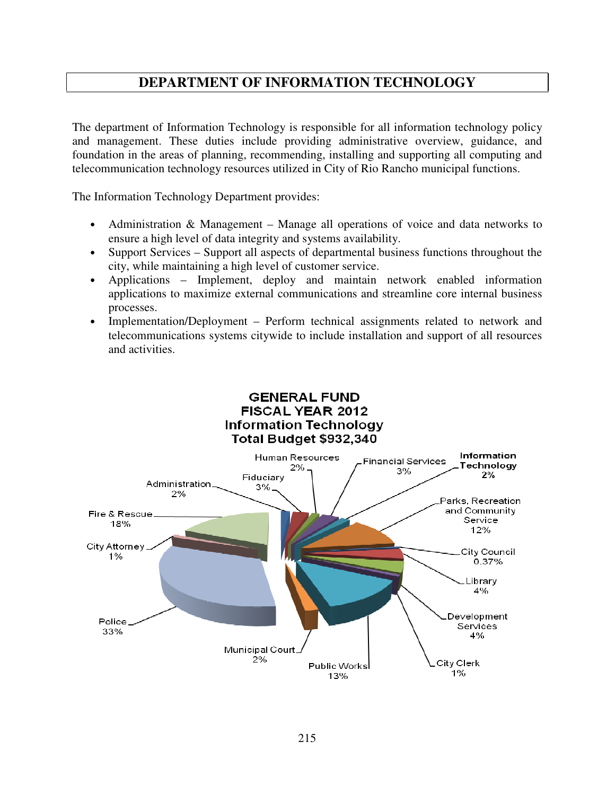## **DEPARTMENT OF INFORMATION TECHNOLOGY**

The department of Information Technology is responsible for all information technology policy and management. These duties include providing administrative overview, guidance, and foundation in the areas of planning, recommending, installing and supporting all computing and telecommunication technology resources utilized in City of Rio Rancho municipal functions.

The Information Technology Department provides:

- Administration & Management Manage all operations of voice and data networks to ensure a high level of data integrity and systems availability.
- Support Services Support all aspects of departmental business functions throughout the city, while maintaining a high level of customer service.
- Applications Implement, deploy and maintain network enabled information applications to maximize external communications and streamline core internal business processes.
- Implementation/Deployment Perform technical assignments related to network and telecommunications systems citywide to include installation and support of all resources and activities.